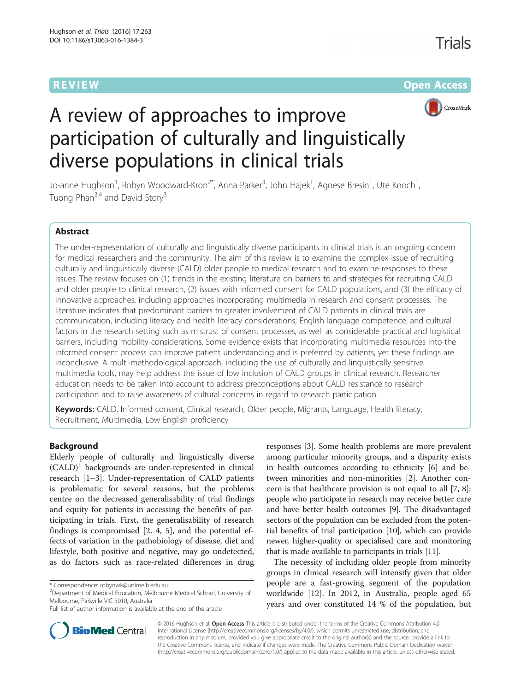**REVIEW ACCESS AND LOCAL CONTRACT CONTRACT OF ACCESS** 



# A review of approaches to improve participation of culturally and linguistically diverse populations in clinical trials

Jo-anne Hughson<sup>1</sup>, Robyn Woodward-Kron<sup>2\*</sup>, Anna Parker<sup>3</sup>, John Hajek<sup>1</sup>, Agnese Bresin<sup>1</sup>, Ute Knoch<sup>1</sup> , Tuong Phan<sup>3,4</sup> and David Story<sup>3</sup>

# Abstract

The under-representation of culturally and linguistically diverse participants in clinical trials is an ongoing concern for medical researchers and the community. The aim of this review is to examine the complex issue of recruiting culturally and linguistically diverse (CALD) older people to medical research and to examine responses to these issues. The review focuses on (1) trends in the existing literature on barriers to and strategies for recruiting CALD and older people to clinical research, (2) issues with informed consent for CALD populations, and (3) the efficacy of innovative approaches, including approaches incorporating multimedia in research and consent processes. The literature indicates that predominant barriers to greater involvement of CALD patients in clinical trials are communication, including literacy and health literacy considerations; English language competence; and cultural factors in the research setting such as mistrust of consent processes, as well as considerable practical and logistical barriers, including mobility considerations. Some evidence exists that incorporating multimedia resources into the informed consent process can improve patient understanding and is preferred by patients, yet these findings are inconclusive. A multi-methodological approach, including the use of culturally and linguistically sensitive multimedia tools, may help address the issue of low inclusion of CALD groups in clinical research. Researcher education needs to be taken into account to address preconceptions about CALD resistance to research participation and to raise awareness of cultural concerns in regard to research participation.

Keywords: CALD, Informed consent, Clinical research, Older people, Migrants, Language, Health literacy, Recruitment, Multimedia, Low English proficiency

# Background

Elderly people of culturally and linguistically diverse  $(CALD)^1$  backgrounds are under-represented in clinical research [\[1](#page-7-0)–[3\]](#page-7-0). Under-representation of CALD patients is problematic for several reasons, but the problems centre on the decreased generalisability of trial findings and equity for patients in accessing the benefits of participating in trials. First, the generalisability of research findings is compromised [[2, 4, 5](#page-7-0)], and the potential effects of variation in the pathobiology of disease, diet and lifestyle, both positive and negative, may go undetected, as do factors such as race-related differences in drug

Department of Medical Education, Melbourne Medical School, University of Melbourne, Parkville VIC 3010, Australia

responses [[3\]](#page-7-0). Some health problems are more prevalent among particular minority groups, and a disparity exists in health outcomes according to ethnicity [[6\]](#page-7-0) and between minorities and non-minorities [\[2\]](#page-7-0). Another concern is that healthcare provision is not equal to all [\[7](#page-8-0), [8](#page-8-0)]; people who participate in research may receive better care and have better health outcomes [\[9](#page-8-0)]. The disadvantaged sectors of the population can be excluded from the potential benefits of trial participation [\[10](#page-8-0)], which can provide newer, higher-quality or specialised care and monitoring that is made available to participants in trials [\[11\]](#page-8-0).

The necessity of including older people from minority groups in clinical research will intensify given that older people are a fast-growing segment of the population worldwide [\[12](#page-8-0)]. In 2012, in Australia, people aged 65 years and over constituted 14 % of the population, but



© 2016 Hughson et al. Open Access This article is distributed under the terms of the Creative Commons Attribution 4.0 International License [\(http://creativecommons.org/licenses/by/4.0/](http://creativecommons.org/licenses/by/4.0/)), which permits unrestricted use, distribution, and reproduction in any medium, provided you give appropriate credit to the original author(s) and the source, provide a link to the Creative Commons license, and indicate if changes were made. The Creative Commons Public Domain Dedication waiver [\(http://creativecommons.org/publicdomain/zero/1.0/](http://creativecommons.org/publicdomain/zero/1.0/)) applies to the data made available in this article, unless otherwise stated.

<sup>\*</sup> Correspondence: [robynwk@unimelb.edu.au](mailto:robynwk@unimelb.edu.au) <sup>2</sup>

Full list of author information is available at the end of the article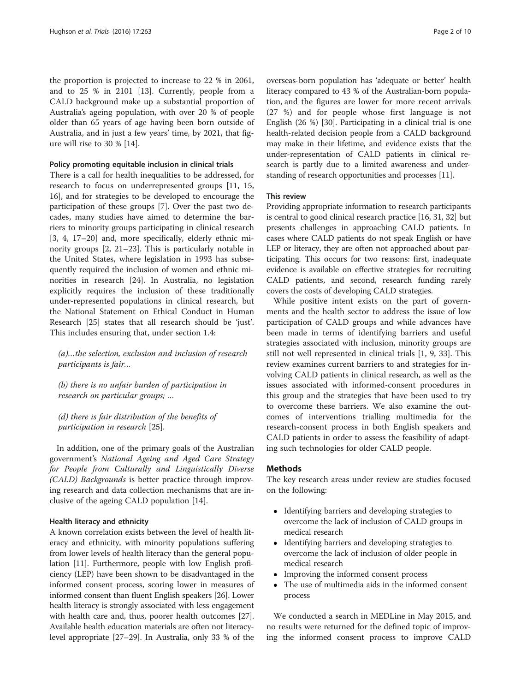the proportion is projected to increase to 22 % in 2061, and to 25 % in 2101 [[13\]](#page-8-0). Currently, people from a CALD background make up a substantial proportion of Australia's ageing population, with over 20 % of people older than 65 years of age having been born outside of Australia, and in just a few years' time, by 2021, that figure will rise to 30 % [[14\]](#page-8-0).

#### Policy promoting equitable inclusion in clinical trials

There is a call for health inequalities to be addressed, for research to focus on underrepresented groups [[11, 15](#page-8-0), [16\]](#page-8-0), and for strategies to be developed to encourage the participation of these groups [[7](#page-8-0)]. Over the past two decades, many studies have aimed to determine the barriers to minority groups participating in clinical research [[3, 4](#page-7-0), [17](#page-8-0)–[20\]](#page-8-0) and, more specifically, elderly ethnic minority groups [[2,](#page-7-0) [21](#page-8-0)–[23\]](#page-8-0). This is particularly notable in the United States, where legislation in 1993 has subsequently required the inclusion of women and ethnic minorities in research [\[24\]](#page-8-0). In Australia, no legislation explicitly requires the inclusion of these traditionally under-represented populations in clinical research, but the National Statement on Ethical Conduct in Human Research [\[25](#page-8-0)] states that all research should be 'just'. This includes ensuring that, under section 1.4:

(a)…the selection, exclusion and inclusion of research participants is fair…

(b) there is no unfair burden of participation in research on particular groups; …

(d) there is fair distribution of the benefits of participation in research [\[25](#page-8-0)].

In addition, one of the primary goals of the Australian government's National Ageing and Aged Care Strategy for People from Culturally and Linguistically Diverse (CALD) Backgrounds is better practice through improving research and data collection mechanisms that are inclusive of the ageing CALD population [[14](#page-8-0)].

#### Health literacy and ethnicity

A known correlation exists between the level of health literacy and ethnicity, with minority populations suffering from lower levels of health literacy than the general population [[11](#page-8-0)]. Furthermore, people with low English proficiency (LEP) have been shown to be disadvantaged in the informed consent process, scoring lower in measures of informed consent than fluent English speakers [[26](#page-8-0)]. Lower health literacy is strongly associated with less engagement with health care and, thus, poorer health outcomes [[27](#page-8-0)]. Available health education materials are often not literacylevel appropriate [[27](#page-8-0)–[29\]](#page-8-0). In Australia, only 33 % of the

overseas-born population has 'adequate or better' health literacy compared to 43 % of the Australian-born population, and the figures are lower for more recent arrivals (27 %) and for people whose first language is not English (26 %) [[30](#page-8-0)]. Participating in a clinical trial is one health-related decision people from a CALD background may make in their lifetime, and evidence exists that the under-representation of CALD patients in clinical research is partly due to a limited awareness and understanding of research opportunities and processes [[11](#page-8-0)].

# This review

Providing appropriate information to research participants is central to good clinical research practice [\[16, 31](#page-8-0), [32](#page-8-0)] but presents challenges in approaching CALD patients. In cases where CALD patients do not speak English or have LEP or literacy, they are often not approached about participating. This occurs for two reasons: first, inadequate evidence is available on effective strategies for recruiting CALD patients, and second, research funding rarely covers the costs of developing CALD strategies.

While positive intent exists on the part of governments and the health sector to address the issue of low participation of CALD groups and while advances have been made in terms of identifying barriers and useful strategies associated with inclusion, minority groups are still not well represented in clinical trials [\[1,](#page-7-0) [9](#page-8-0), [33\]](#page-8-0). This review examines current barriers to and strategies for involving CALD patients in clinical research, as well as the issues associated with informed-consent procedures in this group and the strategies that have been used to try to overcome these barriers. We also examine the outcomes of interventions trialling multimedia for the research-consent process in both English speakers and CALD patients in order to assess the feasibility of adapting such technologies for older CALD people.

# **Methods**

The key research areas under review are studies focused on the following:

- Identifying barriers and developing strategies to overcome the lack of inclusion of CALD groups in medical research
- Identifying barriers and developing strategies to overcome the lack of inclusion of older people in medical research
- Improving the informed consent process
- The use of multimedia aids in the informed consent process

We conducted a search in MEDLine in May 2015, and no results were returned for the defined topic of improving the informed consent process to improve CALD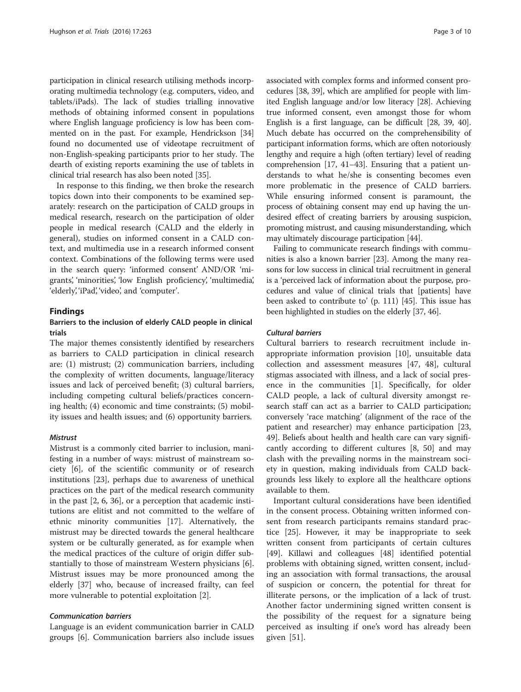participation in clinical research utilising methods incorporating multimedia technology (e.g. computers, video, and tablets/iPads). The lack of studies trialling innovative methods of obtaining informed consent in populations where English language proficiency is low has been commented on in the past. For example, Hendrickson [[34](#page-8-0)] found no documented use of videotape recruitment of non-English-speaking participants prior to her study. The dearth of existing reports examining the use of tablets in clinical trial research has also been noted [\[35\]](#page-8-0).

In response to this finding, we then broke the research topics down into their components to be examined separately: research on the participation of CALD groups in medical research, research on the participation of older people in medical research (CALD and the elderly in general), studies on informed consent in a CALD context, and multimedia use in a research informed consent context. Combinations of the following terms were used in the search query: 'informed consent' AND/OR 'migrants', 'minorities', 'low English proficiency', 'multimedia', 'elderly', 'iPad', 'video', and 'computer'.

# Findings

# Barriers to the inclusion of elderly CALD people in clinical trials

The major themes consistently identified by researchers as barriers to CALD participation in clinical research are: (1) mistrust; (2) communication barriers, including the complexity of written documents, language/literacy issues and lack of perceived benefit; (3) cultural barriers, including competing cultural beliefs/practices concerning health; (4) economic and time constraints; (5) mobility issues and health issues; and (6) opportunity barriers.

#### **Mistrust**

Mistrust is a commonly cited barrier to inclusion, manifesting in a number of ways: mistrust of mainstream society [[6\]](#page-7-0), of the scientific community or of research institutions [[23\]](#page-8-0), perhaps due to awareness of unethical practices on the part of the medical research community in the past [\[2](#page-7-0), [6,](#page-7-0) [36\]](#page-8-0), or a perception that academic institutions are elitist and not committed to the welfare of ethnic minority communities [\[17](#page-8-0)]. Alternatively, the mistrust may be directed towards the general healthcare system or be culturally generated, as for example when the medical practices of the culture of origin differ substantially to those of mainstream Western physicians [\[6](#page-7-0)]. Mistrust issues may be more pronounced among the elderly [[37\]](#page-8-0) who, because of increased frailty, can feel more vulnerable to potential exploitation [\[2](#page-7-0)].

# Communication barriers

Language is an evident communication barrier in CALD groups [[6\]](#page-7-0). Communication barriers also include issues associated with complex forms and informed consent procedures [[38](#page-8-0), [39](#page-8-0)], which are amplified for people with limited English language and/or low literacy [[28\]](#page-8-0). Achieving true informed consent, even amongst those for whom English is a first language, can be difficult [\[28, 39](#page-8-0), [40](#page-8-0)]. Much debate has occurred on the comprehensibility of participant information forms, which are often notoriously lengthy and require a high (often tertiary) level of reading comprehension [[17](#page-8-0), [41](#page-8-0)–[43\]](#page-8-0). Ensuring that a patient understands to what he/she is consenting becomes even more problematic in the presence of CALD barriers. While ensuring informed consent is paramount, the process of obtaining consent may end up having the undesired effect of creating barriers by arousing suspicion, promoting mistrust, and causing misunderstanding, which may ultimately discourage participation [\[44\]](#page-8-0).

Failing to communicate research findings with communities is also a known barrier [[23](#page-8-0)]. Among the many reasons for low success in clinical trial recruitment in general is a 'perceived lack of information about the purpose, procedures and value of clinical trials that [patients] have been asked to contribute to' (p. 111) [\[45\]](#page-8-0). This issue has been highlighted in studies on the elderly [\[37, 46](#page-8-0)].

#### Cultural barriers

Cultural barriers to research recruitment include inappropriate information provision [\[10\]](#page-8-0), unsuitable data collection and assessment measures [[47, 48](#page-8-0)], cultural stigmas associated with illness, and a lack of social presence in the communities [[1\]](#page-7-0). Specifically, for older CALD people, a lack of cultural diversity amongst research staff can act as a barrier to CALD participation; conversely 'race matching' (alignment of the race of the patient and researcher) may enhance participation [[23](#page-8-0), [49\]](#page-8-0). Beliefs about health and health care can vary significantly according to different cultures [[8,](#page-8-0) [50\]](#page-9-0) and may clash with the prevailing norms in the mainstream society in question, making individuals from CALD backgrounds less likely to explore all the healthcare options available to them.

Important cultural considerations have been identified in the consent process. Obtaining written informed consent from research participants remains standard practice [[25](#page-8-0)]. However, it may be inappropriate to seek written consent from participants of certain cultures [[49\]](#page-8-0). Killawi and colleagues [[48\]](#page-8-0) identified potential problems with obtaining signed, written consent, including an association with formal transactions, the arousal of suspicion or concern, the potential for threat for illiterate persons, or the implication of a lack of trust. Another factor undermining signed written consent is the possibility of the request for a signature being perceived as insulting if one's word has already been given [[51\]](#page-9-0).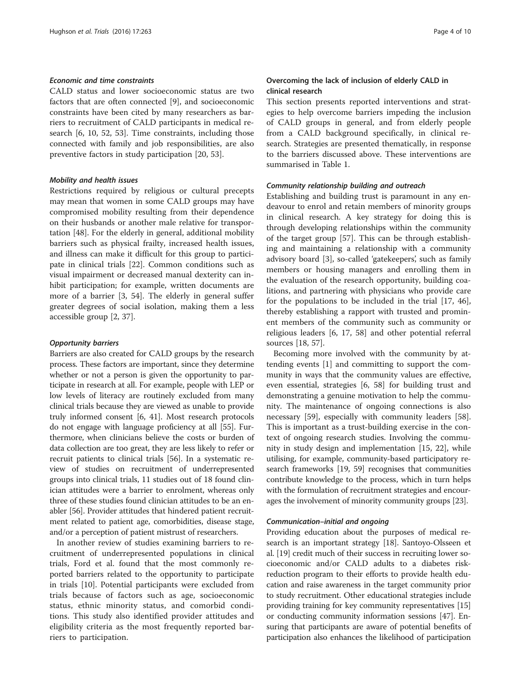# Economic and time constraints

CALD status and lower socioeconomic status are two factors that are often connected [\[9](#page-8-0)], and socioeconomic constraints have been cited by many researchers as barriers to recruitment of CALD participants in medical research [[6](#page-7-0), [10](#page-8-0), [52, 53](#page-9-0)]. Time constraints, including those connected with family and job responsibilities, are also preventive factors in study participation [\[20,](#page-8-0) [53\]](#page-9-0).

# Mobility and health issues

Restrictions required by religious or cultural precepts may mean that women in some CALD groups may have compromised mobility resulting from their dependence on their husbands or another male relative for transportation [[48](#page-8-0)]. For the elderly in general, additional mobility barriers such as physical frailty, increased health issues, and illness can make it difficult for this group to participate in clinical trials [\[22](#page-8-0)]. Common conditions such as visual impairment or decreased manual dexterity can inhibit participation; for example, written documents are more of a barrier [[3](#page-7-0), [54\]](#page-9-0). The elderly in general suffer greater degrees of social isolation, making them a less accessible group [[2](#page-7-0), [37](#page-8-0)].

#### Opportunity barriers

Barriers are also created for CALD groups by the research process. These factors are important, since they determine whether or not a person is given the opportunity to participate in research at all. For example, people with LEP or low levels of literacy are routinely excluded from many clinical trials because they are viewed as unable to provide truly informed consent [[6](#page-7-0), [41\]](#page-8-0). Most research protocols do not engage with language proficiency at all [[55](#page-9-0)]. Furthermore, when clinicians believe the costs or burden of data collection are too great, they are less likely to refer or recruit patients to clinical trials [[56\]](#page-9-0). In a systematic review of studies on recruitment of underrepresented groups into clinical trials, 11 studies out of 18 found clinician attitudes were a barrier to enrolment, whereas only three of these studies found clinician attitudes to be an enabler [\[56\]](#page-9-0). Provider attitudes that hindered patient recruitment related to patient age, comorbidities, disease stage, and/or a perception of patient mistrust of researchers.

In another review of studies examining barriers to recruitment of underrepresented populations in clinical trials, Ford et al. found that the most commonly reported barriers related to the opportunity to participate in trials [[10\]](#page-8-0). Potential participants were excluded from trials because of factors such as age, socioeconomic status, ethnic minority status, and comorbid conditions. This study also identified provider attitudes and eligibility criteria as the most frequently reported barriers to participation.

# Overcoming the lack of inclusion of elderly CALD in clinical research

This section presents reported interventions and strategies to help overcome barriers impeding the inclusion of CALD groups in general, and from elderly people from a CALD background specifically, in clinical research. Strategies are presented thematically, in response to the barriers discussed above. These interventions are summarised in Table [1](#page-4-0).

#### Community relationship building and outreach

Establishing and building trust is paramount in any endeavour to enrol and retain members of minority groups in clinical research. A key strategy for doing this is through developing relationships within the community of the target group [\[57](#page-9-0)]. This can be through establishing and maintaining a relationship with a community advisory board [[3\]](#page-7-0), so-called 'gatekeepers', such as family members or housing managers and enrolling them in the evaluation of the research opportunity, building coalitions, and partnering with physicians who provide care for the populations to be included in the trial [\[17](#page-8-0), [46](#page-8-0)], thereby establishing a rapport with trusted and prominent members of the community such as community or religious leaders [\[6](#page-7-0), [17](#page-8-0), [58](#page-9-0)] and other potential referral sources [\[18](#page-8-0), [57](#page-9-0)].

Becoming more involved with the community by attending events [[1\]](#page-7-0) and committing to support the community in ways that the community values are effective, even essential, strategies [[6](#page-7-0), [58](#page-9-0)] for building trust and demonstrating a genuine motivation to help the community. The maintenance of ongoing connections is also necessary [\[59\]](#page-9-0), especially with community leaders [\[58](#page-9-0)]. This is important as a trust-building exercise in the context of ongoing research studies. Involving the community in study design and implementation [\[15, 22\]](#page-8-0), while utilising, for example, community-based participatory research frameworks [\[19](#page-8-0), [59\]](#page-9-0) recognises that communities contribute knowledge to the process, which in turn helps with the formulation of recruitment strategies and encourages the involvement of minority community groups [\[23](#page-8-0)].

#### Communication–initial and ongoing

Providing education about the purposes of medical research is an important strategy [\[18\]](#page-8-0). Santoyo-Olsseen et al. [\[19\]](#page-8-0) credit much of their success in recruiting lower socioeconomic and/or CALD adults to a diabetes riskreduction program to their efforts to provide health education and raise awareness in the target community prior to study recruitment. Other educational strategies include providing training for key community representatives [[15](#page-8-0)] or conducting community information sessions [[47](#page-8-0)]. Ensuring that participants are aware of potential benefits of participation also enhances the likelihood of participation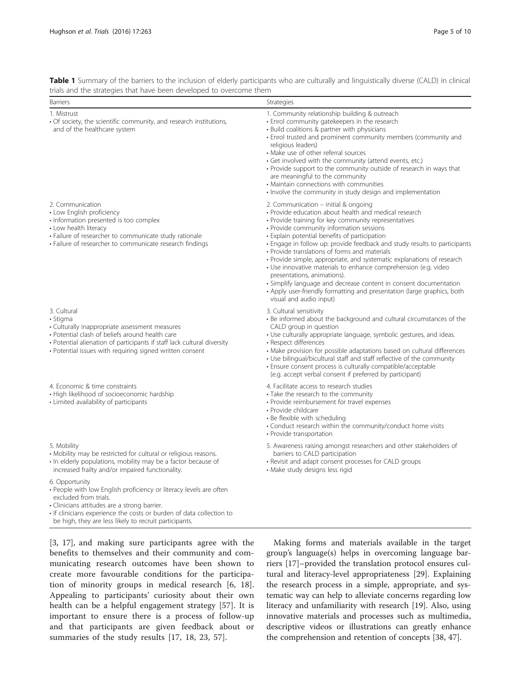<span id="page-4-0"></span>Table 1 Summary of the barriers to the inclusion of elderly participants who are culturally and linguistically diverse (CALD) in clinical trials and the strategies that have been developed to overcome them

| <b>Barriers</b>                                                                                                                                                                                                                                                                               | Strategies                                                                                                                                                                                                                                                                                                                                                                                                                                                                                                                                                                                                                                                                                                                              |
|-----------------------------------------------------------------------------------------------------------------------------------------------------------------------------------------------------------------------------------------------------------------------------------------------|-----------------------------------------------------------------------------------------------------------------------------------------------------------------------------------------------------------------------------------------------------------------------------------------------------------------------------------------------------------------------------------------------------------------------------------------------------------------------------------------------------------------------------------------------------------------------------------------------------------------------------------------------------------------------------------------------------------------------------------------|
| 1. Mistrust<br>• Of society, the scientific community, and research institutions,<br>and of the healthcare system                                                                                                                                                                             | 1. Community relationship building & outreach<br>· Enrol community gatekeepers in the research<br>• Build coalitions & partner with physicians<br>• Enrol trusted and prominent community members (community and<br>religious leaders)<br>• Make use of other referral sources<br>· Get involved with the community (attend events, etc.)<br>• Provide support to the community outside of research in ways that<br>are meaningful to the community<br>• Maintain connections with communities<br>• Involve the community in study design and implementation                                                                                                                                                                            |
| 2. Communication<br>• Low English proficiency<br>• Information presented is too complex<br>• Low health literacy<br>· Failure of researcher to communicate study rationale<br>• Failure of researcher to communicate research findings                                                        | 2. Communication - initial & ongoing<br>· Provide education about health and medical research<br>· Provide training for key community representatives<br>• Provide community information sessions<br>· Explain potential benefits of participation<br>• Engage in follow up: provide feedback and study results to participants<br>• Provide translations of forms and materials<br>• Provide simple, appropriate, and systematic explanations of research<br>• Use innovative materials to enhance comprehension (e.g. video<br>presentations, animations).<br>• Simplify language and decrease content in consent documentation<br>• Apply user-friendly formatting and presentation (large graphics, both<br>visual and audio input) |
| 3. Cultural<br>• Stigma<br>• Culturally inappropriate assessment measures<br>• Potential clash of beliefs around health care<br>• Potential alienation of participants if staff lack cultural diversity<br>• Potential issues with requiring signed written consent                           | 3. Cultural sensitivity<br>• Be informed about the background and cultural circumstances of the<br>CALD group in question<br>• Use culturally appropriate language, symbolic gestures, and ideas.<br>• Respect differences<br>• Make provision for possible adaptations based on cultural differences<br>• Use bilingual/bicultural staff and staff reflective of the community<br>• Ensure consent process is culturally compatible/acceptable<br>(e.g. accept verbal consent if preferred by participant)                                                                                                                                                                                                                             |
| 4. Economic & time constraints<br>• High likelihood of socioeconomic hardship<br>• Limited availability of participants                                                                                                                                                                       | 4. Facilitate access to research studies<br>• Take the research to the community<br>• Provide reimbursement for travel expenses<br>• Provide childcare<br>• Be flexible with scheduling<br>• Conduct research within the community/conduct home visits<br>• Provide transportation                                                                                                                                                                                                                                                                                                                                                                                                                                                      |
| 5. Mobility<br>• Mobility may be restricted for cultural or religious reasons.<br>• In elderly populations, mobility may be a factor because of<br>increased frailty and/or impaired functionality.                                                                                           | 5. Awareness raising amongst researchers and other stakeholders of<br>barriers to CALD participation<br>• Revisit and adapt consent processes for CALD groups<br>• Make study designs less rigid                                                                                                                                                                                                                                                                                                                                                                                                                                                                                                                                        |
| 6. Opportunity<br>• People with low English proficiency or literacy levels are often<br>excluded from trials.<br>· Clinicians attitudes are a strong barrier.<br>If clinicians experience the costs or burden of data collection to<br>be high, they are less likely to recruit participants. |                                                                                                                                                                                                                                                                                                                                                                                                                                                                                                                                                                                                                                                                                                                                         |

[[3,](#page-7-0) [17\]](#page-8-0), and making sure participants agree with the benefits to themselves and their community and communicating research outcomes have been shown to create more favourable conditions for the participation of minority groups in medical research [\[6](#page-7-0), [18](#page-8-0)]. Appealing to participants' curiosity about their own health can be a helpful engagement strategy [[57\]](#page-9-0). It is important to ensure there is a process of follow-up and that participants are given feedback about or summaries of the study results [[17, 18, 23](#page-8-0), [57](#page-9-0)].

Making forms and materials available in the target group's language(s) helps in overcoming language barriers [\[17](#page-8-0)]–provided the translation protocol ensures cultural and literacy-level appropriateness [[29\]](#page-8-0). Explaining the research process in a simple, appropriate, and systematic way can help to alleviate concerns regarding low literacy and unfamiliarity with research [\[19\]](#page-8-0). Also, using innovative materials and processes such as multimedia, descriptive videos or illustrations can greatly enhance the comprehension and retention of concepts [[38, 47\]](#page-8-0).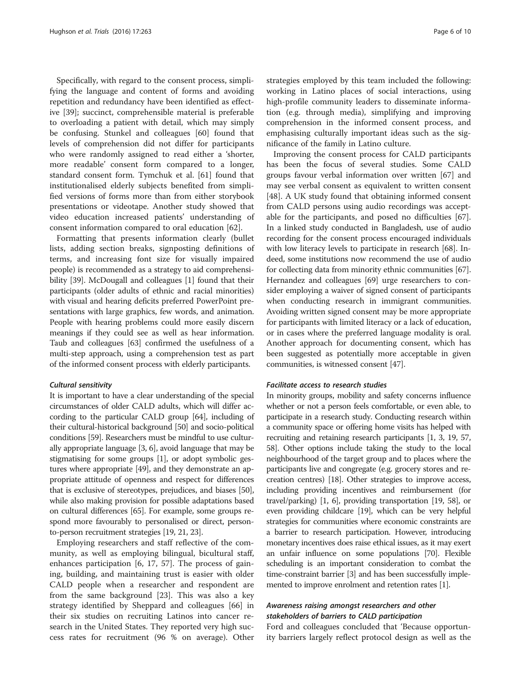Specifically, with regard to the consent process, simplifying the language and content of forms and avoiding repetition and redundancy have been identified as effective [\[39](#page-8-0)]; succinct, comprehensible material is preferable to overloading a patient with detail, which may simply be confusing. Stunkel and colleagues [\[60](#page-9-0)] found that levels of comprehension did not differ for participants who were randomly assigned to read either a 'shorter, more readable' consent form compared to a longer, standard consent form. Tymchuk et al. [\[61](#page-9-0)] found that institutionalised elderly subjects benefited from simplified versions of forms more than from either storybook presentations or videotape. Another study showed that video education increased patients' understanding of consent information compared to oral education [\[62](#page-9-0)].

Formatting that presents information clearly (bullet lists, adding section breaks, signposting definitions of terms, and increasing font size for visually impaired people) is recommended as a strategy to aid comprehensibility [\[39\]](#page-8-0). McDougall and colleagues [\[1](#page-7-0)] found that their participants (older adults of ethnic and racial minorities) with visual and hearing deficits preferred PowerPoint presentations with large graphics, few words, and animation. People with hearing problems could more easily discern meanings if they could see as well as hear information. Taub and colleagues [[63](#page-9-0)] confirmed the usefulness of a multi-step approach, using a comprehension test as part of the informed consent process with elderly participants.

#### Cultural sensitivity

It is important to have a clear understanding of the special circumstances of older CALD adults, which will differ according to the particular CALD group [[64](#page-9-0)], including of their cultural-historical background [[50](#page-9-0)] and socio-political conditions [[59\]](#page-9-0). Researchers must be mindful to use culturally appropriate language [\[3, 6](#page-7-0)], avoid language that may be stigmatising for some groups [\[1](#page-7-0)], or adopt symbolic gestures where appropriate [[49](#page-8-0)], and they demonstrate an appropriate attitude of openness and respect for differences that is exclusive of stereotypes, prejudices, and biases [[50](#page-9-0)], while also making provision for possible adaptations based on cultural differences [\[65\]](#page-9-0). For example, some groups respond more favourably to personalised or direct, personto-person recruitment strategies [\[19, 21, 23](#page-8-0)].

Employing researchers and staff reflective of the community, as well as employing bilingual, bicultural staff, enhances participation [\[6](#page-7-0), [17](#page-8-0), [57](#page-9-0)]. The process of gaining, building, and maintaining trust is easier with older CALD people when a researcher and respondent are from the same background [\[23](#page-8-0)]. This was also a key strategy identified by Sheppard and colleagues [[66](#page-9-0)] in their six studies on recruiting Latinos into cancer research in the United States. They reported very high success rates for recruitment (96 % on average). Other strategies employed by this team included the following: working in Latino places of social interactions, using high-profile community leaders to disseminate information (e.g. through media), simplifying and improving comprehension in the informed consent process, and emphasising culturally important ideas such as the significance of the family in Latino culture.

Improving the consent process for CALD participants has been the focus of several studies. Some CALD groups favour verbal information over written [\[67](#page-9-0)] and may see verbal consent as equivalent to written consent [[48\]](#page-8-0). A UK study found that obtaining informed consent from CALD persons using audio recordings was acceptable for the participants, and posed no difficulties [\[67](#page-9-0)]. In a linked study conducted in Bangladesh, use of audio recording for the consent process encouraged individuals with low literacy levels to participate in research [\[68](#page-9-0)]. Indeed, some institutions now recommend the use of audio for collecting data from minority ethnic communities [[67](#page-9-0)]. Hernandez and colleagues [\[69\]](#page-9-0) urge researchers to consider employing a waiver of signed consent of participants when conducting research in immigrant communities. Avoiding written signed consent may be more appropriate for participants with limited literacy or a lack of education, or in cases where the preferred language modality is oral. Another approach for documenting consent, which has been suggested as potentially more acceptable in given communities, is witnessed consent [[47](#page-8-0)].

#### Facilitate access to research studies

In minority groups, mobility and safety concerns influence whether or not a person feels comfortable, or even able, to participate in a research study. Conducting research within a community space or offering home visits has helped with recruiting and retaining research participants [\[1](#page-7-0), [3](#page-7-0), [19](#page-8-0), [57](#page-9-0), [58](#page-9-0)]. Other options include taking the study to the local neighbourhood of the target group and to places where the participants live and congregate (e.g. grocery stores and recreation centres) [\[18\]](#page-8-0). Other strategies to improve access, including providing incentives and reimbursement (for travel/parking) [\[1, 6](#page-7-0)], providing transportation [[19,](#page-8-0) [58](#page-9-0)], or even providing childcare [\[19](#page-8-0)], which can be very helpful strategies for communities where economic constraints are a barrier to research participation. However, introducing monetary incentives does raise ethical issues, as it may exert an unfair influence on some populations [\[70\]](#page-9-0). Flexible scheduling is an important consideration to combat the time-constraint barrier [[3](#page-7-0)] and has been successfully implemented to improve enrolment and retention rates [\[1\]](#page-7-0).

# Awareness raising amongst researchers and other stakeholders of barriers to CALD participation

Ford and colleagues concluded that 'Because opportunity barriers largely reflect protocol design as well as the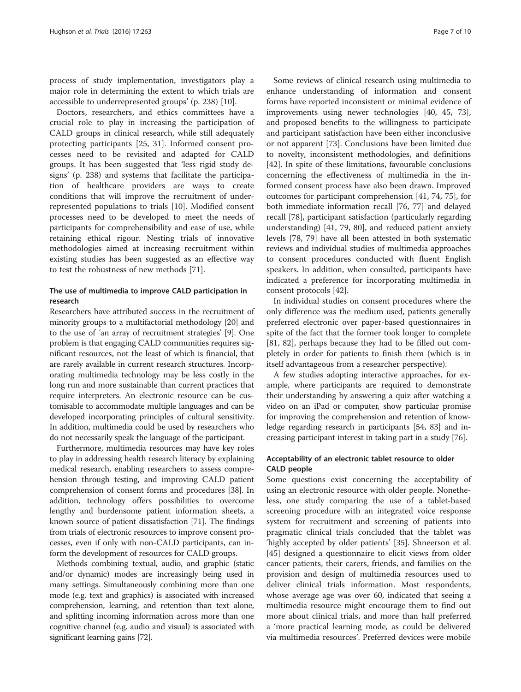process of study implementation, investigators play a major role in determining the extent to which trials are accessible to underrepresented groups' (p. 238) [[10](#page-8-0)].

Doctors, researchers, and ethics committees have a crucial role to play in increasing the participation of CALD groups in clinical research, while still adequately protecting participants [[25](#page-8-0), [31\]](#page-8-0). Informed consent processes need to be revisited and adapted for CALD groups. It has been suggested that 'less rigid study designs' (p. 238) and systems that facilitate the participation of healthcare providers are ways to create conditions that will improve the recruitment of underrepresented populations to trials [\[10\]](#page-8-0). Modified consent processes need to be developed to meet the needs of participants for comprehensibility and ease of use, while retaining ethical rigour. Nesting trials of innovative methodologies aimed at increasing recruitment within existing studies has been suggested as an effective way to test the robustness of new methods [[71](#page-9-0)].

# The use of multimedia to improve CALD participation in research

Researchers have attributed success in the recruitment of minority groups to a multifactorial methodology [[20](#page-8-0)] and to the use of 'an array of recruitment strategies' [[9\]](#page-8-0). One problem is that engaging CALD communities requires significant resources, not the least of which is financial, that are rarely available in current research structures. Incorporating multimedia technology may be less costly in the long run and more sustainable than current practices that require interpreters. An electronic resource can be customisable to accommodate multiple languages and can be developed incorporating principles of cultural sensitivity. In addition, multimedia could be used by researchers who do not necessarily speak the language of the participant.

Furthermore, multimedia resources may have key roles to play in addressing health research literacy by explaining medical research, enabling researchers to assess comprehension through testing, and improving CALD patient comprehension of consent forms and procedures [[38](#page-8-0)]. In addition, technology offers possibilities to overcome lengthy and burdensome patient information sheets, a known source of patient dissatisfaction [\[71\]](#page-9-0). The findings from trials of electronic resources to improve consent processes, even if only with non-CALD participants, can inform the development of resources for CALD groups.

Methods combining textual, audio, and graphic (static and/or dynamic) modes are increasingly being used in many settings. Simultaneously combining more than one mode (e.g. text and graphics) is associated with increased comprehension, learning, and retention than text alone, and splitting incoming information across more than one cognitive channel (e.g. audio and visual) is associated with significant learning gains [\[72](#page-9-0)].

Some reviews of clinical research using multimedia to enhance understanding of information and consent forms have reported inconsistent or minimal evidence of improvements using newer technologies [[40, 45](#page-8-0), [73](#page-9-0)], and proposed benefits to the willingness to participate and participant satisfaction have been either inconclusive or not apparent [[73\]](#page-9-0). Conclusions have been limited due to novelty, inconsistent methodologies, and definitions [[42\]](#page-8-0). In spite of these limitations, favourable conclusions concerning the effectiveness of multimedia in the informed consent process have also been drawn. Improved outcomes for participant comprehension [[41](#page-8-0), [74](#page-9-0), [75\]](#page-9-0), for both immediate information recall [\[76, 77\]](#page-9-0) and delayed recall [\[78\]](#page-9-0), participant satisfaction (particularly regarding understanding) [\[41](#page-8-0), [79, 80](#page-9-0)], and reduced patient anxiety levels [\[78, 79\]](#page-9-0) have all been attested in both systematic reviews and individual studies of multimedia approaches to consent procedures conducted with fluent English speakers. In addition, when consulted, participants have indicated a preference for incorporating multimedia in consent protocols [[42](#page-8-0)].

In individual studies on consent procedures where the only difference was the medium used, patients generally preferred electronic over paper-based questionnaires in spite of the fact that the former took longer to complete [[81, 82](#page-9-0)], perhaps because they had to be filled out completely in order for patients to finish them (which is in itself advantageous from a researcher perspective).

A few studies adopting interactive approaches, for example, where participants are required to demonstrate their understanding by answering a quiz after watching a video on an iPad or computer, show particular promise for improving the comprehension and retention of knowledge regarding research in participants [[54](#page-9-0), [83](#page-9-0)] and increasing participant interest in taking part in a study [[76](#page-9-0)].

# Acceptability of an electronic tablet resource to older CALD people

Some questions exist concerning the acceptability of using an electronic resource with older people. Nonetheless, one study comparing the use of a tablet-based screening procedure with an integrated voice response system for recruitment and screening of patients into pragmatic clinical trials concluded that the tablet was 'highly accepted by older patients' [\[35](#page-8-0)]. Shneerson et al. [[45\]](#page-8-0) designed a questionnaire to elicit views from older cancer patients, their carers, friends, and families on the provision and design of multimedia resources used to deliver clinical trials information. Most respondents, whose average age was over 60, indicated that seeing a multimedia resource might encourage them to find out more about clinical trials, and more than half preferred a 'more practical learning mode, as could be delivered via multimedia resources'. Preferred devices were mobile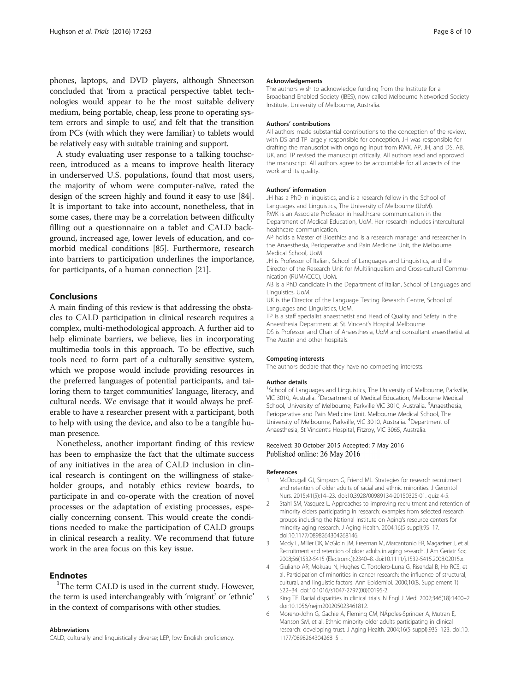<span id="page-7-0"></span>phones, laptops, and DVD players, although Shneerson concluded that 'from a practical perspective tablet technologies would appear to be the most suitable delivery medium, being portable, cheap, less prone to operating system errors and simple to use, and felt that the transition from PCs (with which they were familiar) to tablets would be relatively easy with suitable training and support.

A study evaluating user response to a talking touchscreen, introduced as a means to improve health literacy in underserved U.S. populations, found that most users, the majority of whom were computer-naïve, rated the design of the screen highly and found it easy to use [\[84](#page-9-0)]. It is important to take into account, nonetheless, that in some cases, there may be a correlation between difficulty filling out a questionnaire on a tablet and CALD background, increased age, lower levels of education, and comorbid medical conditions [[85\]](#page-9-0). Furthermore, research into barriers to participation underlines the importance, for participants, of a human connection [\[21\]](#page-8-0).

# Conclusions

A main finding of this review is that addressing the obstacles to CALD participation in clinical research requires a complex, multi-methodological approach. A further aid to help eliminate barriers, we believe, lies in incorporating multimedia tools in this approach. To be effective, such tools need to form part of a culturally sensitive system, which we propose would include providing resources in the preferred languages of potential participants, and tailoring them to target communities' language, literacy, and cultural needs. We envisage that it would always be preferable to have a researcher present with a participant, both to help with using the device, and also to be a tangible human presence.

Nonetheless, another important finding of this review has been to emphasize the fact that the ultimate success of any initiatives in the area of CALD inclusion in clinical research is contingent on the willingness of stakeholder groups, and notably ethics review boards, to participate in and co-operate with the creation of novel processes or the adaptation of existing processes, especially concerning consent. This would create the conditions needed to make the participation of CALD groups in clinical research a reality. We recommend that future work in the area focus on this key issue.

# **Endnotes**

<sup>1</sup>The term CALD is used in the current study. However, the term is used interchangeably with 'migrant' or 'ethnic' in the context of comparisons with other studies.

#### Abbreviations

CALD, culturally and linguistically diverse; LEP, low English proficiency.

#### Acknowledgements

The authors wish to acknowledge funding from the Institute for a Broadband Enabled Society (IBES), now called Melbourne Networked Society Institute, University of Melbourne, Australia.

#### Authors' contributions

All authors made substantial contributions to the conception of the review, with DS and TP largely responsible for conception. JH was responsible for drafting the manuscript with ongoing input from RWK, AP, JH, and DS. AB, UK, and TP revised the manuscript critically. All authors read and approved the manuscript. All authors agree to be accountable for all aspects of the work and its quality.

#### Authors' information

JH has a PhD in linguistics, and is a research fellow in the School of Languages and Linguistics, The University of Melbourne (UoM). RWK is an Associate Professor in healthcare communication in the Department of Medical Education, UoM. Her research includes intercultural healthcare communication.

AP holds a Master of Bioethics and is a research manager and researcher in the Anaesthesia, Perioperative and Pain Medicine Unit, the Melbourne Medical School, UoM

JH is Professor of Italian, School of Languages and Linguistics, and the Director of the Research Unit for Multilingualism and Cross-cultural Communication (RUMACCC), UoM.

AB is a PhD candidate in the Department of Italian, School of Languages and Linguistics, UoM.

UK is the Director of the Language Testing Research Centre, School of Languages and Linguistics, UoM.

TP is a staff specialist anaesthetist and Head of Quality and Safety in the Anaesthesia Department at St. Vincent's Hospital Melbourne

DS is Professor and Chair of Anaesthesia, UoM and consultant anaesthetist at The Austin and other hospitals.

#### Competing interests

The authors declare that they have no competing interests.

#### Author details

<sup>1</sup>School of Languages and Linguistics, The University of Melbourne, Parkville VIC 3010, Australia. <sup>2</sup> Department of Medical Education, Melbourne Medical School, University of Melbourne, Parkville VIC 3010, Australia. <sup>3</sup>Anaesthesia Perioperative and Pain Medicine Unit, Melbourne Medical School, The University of Melbourne, Parkville, VIC 3010, Australia. <sup>4</sup>Department of Anaesthesia, St Vincent's Hospital, Fitzroy, VIC 3065, Australia.

### Received: 30 October 2015 Accepted: 7 May 2016 Published online: 26 May 2016

#### References

- 1. McDougall GJ, Simpson G, Friend ML. Strategies for research recruitment and retention of older adults of racial and ethnic minorities. J Gerontol Nurs. 2015;41(5):14–23. doi:[10.3928/00989134-20150325-01](http://dx.doi.org/10.3928/00989134-20150325-01). quiz 4-5.
- 2. Stahl SM, Vasquez L. Approaches to improving recruitment and retention of minority elders participating in research: examples from selected research groups including the National Institute on Aging's resource centers for minority aging research. J Aging Health. 2004;16(5 suppl):9S–17. doi[:10.1177/0898264304268146.](http://dx.doi.org/10.1177/0898264304268146)
- 3. Mody L, Miller DK, McGloin JM, Freeman M, Marcantonio ER, Magaziner J, et al. Recruitment and retention of older adults in aging research. J Am Geriatr Soc. 2008;56(1532-5415 (Electronic)):2340–8. doi[:10.1111/j.1532-5415.2008.02015.x.](http://dx.doi.org/10.1111/j.1532-5415.2008.02015.x)
- 4. Giuliano AR, Mokuau N, Hughes C, Tortolero-Luna G, Risendal B, Ho RCS, et al. Participation of minorities in cancer research: the influence of structural, cultural, and linguistic factors. Ann Epidemiol. 2000;10(8, Supplement 1): S22–34. doi:[10.1016/s1047-2797\(00\)00195-2.](http://dx.doi.org/10.1016/s1047-2797(00)00195-2)
- 5. King TE. Racial disparities in clinical trials. N Engl J Med. 2002;346(18):1400–2. doi[:10.1056/nejm200205023461812.](http://dx.doi.org/10.1056/nejm200205023461812)
- 6. Moreno-John G, Gachie A, Fleming CM, NÁpoles-Springer A, Mutran E, Manson SM, et al. Ethnic minority older adults participating in clinical research: developing trust. J Aging Health. 2004;16(5 suppl):93S–123. doi:[10.](http://dx.doi.org/10.1177/0898264304268151) [1177/0898264304268151](http://dx.doi.org/10.1177/0898264304268151).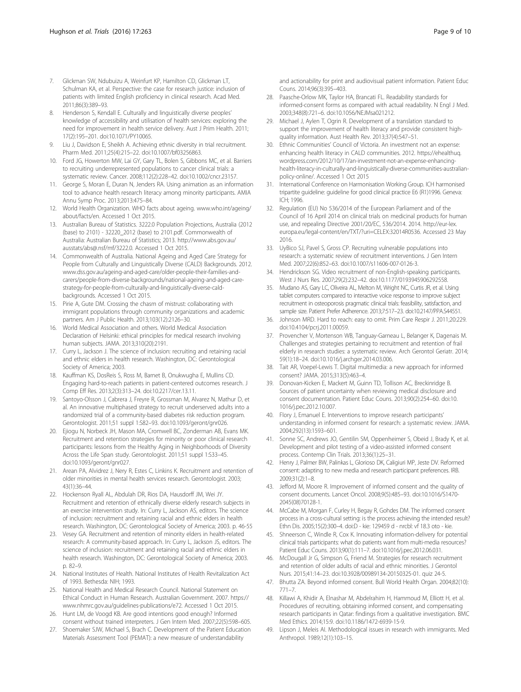- <span id="page-8-0"></span>7. Glickman SW, Ndubuizu A, Weinfurt KP, Hamilton CD, Glickman LT, Schulman KA, et al. Perspective: the case for research justice: inclusion of patients with limited English proficiency in clinical research. Acad Med. 2011;86(3):389–93.
- 8. Henderson S, Kendall E. Culturally and linguistically diverse peoples' knowledge of accessibility and utilisation of health services: exploring the need for improvement in health service delivery. Aust J Prim Health. 2011; 17(2):195–201. doi[:10.1071/PY10065.](http://dx.doi.org/10.1071/PY10065)
- 9. Liu J, Davidson E, Sheikh A. Achieving ethnic diversity in trial recruitment. Pharm Med. 2011;25(4):215–22. doi:[10.1007/bf03256863.](http://dx.doi.org/10.1007/bf03256863)
- 10. Ford JG, Howerton MW, Lai GY, Gary TL, Bolen S, Gibbons MC, et al. Barriers to recruiting underrepresented populations to cancer clinical trials: a systematic review. Cancer. 2008;112(2):228–42. doi:[10.1002/cncr.23157](http://dx.doi.org/10.1002/cncr.23157).
- 11. George S, Moran E, Duran N, Jenders RA. Using animation as an information tool to advance health research literacy among minority participants. AMIA Annu Symp Proc. 2013;2013:475–84.
- 12. World Health Organization. WHO facts about ageing. [www.who.int/ageing/](http://www.who.int/ageing/about/facts/en) [about/facts/en](http://www.who.int/ageing/about/facts/en). Accessed 1 Oct 2015.
- 13. Australian Bureau of Statistics. 3222.0 Population Projections, Australia (2012 (base) to 2101) - 32220\_2012 (base) to 2101.pdf. Commonwealth of Australia: Australian Bureau of Statistics; 2013. [http://www.abs.gov.au/](http://www.abs.gov.au/ausstats/abs@.nsf/mf/3222.0) [ausstats/abs@.nsf/mf/3222.0](http://www.abs.gov.au/ausstats/abs@.nsf/mf/3222.0). Accessed 1 Oct 2015.
- 14. Commonwealth of Australia. National Ageing and Aged Care Strategy for People from Culturally and Linguistically Diverse (CALD) Backgrounds. 2012. [www.dss.gov.au/ageing-and-aged-care/older-people-their-families-and](http://www.dss.gov.au/ageing-and-aged-care/older-people-their-families-and-carers/people-from-diverse-backgrounds/national-ageing-and-aged-care-strategy-for-people-from-culturally-and-linguistically-diverse-cald-backgrounds)[carers/people-from-diverse-backgrounds/national-ageing-and-aged-care](http://www.dss.gov.au/ageing-and-aged-care/older-people-their-families-and-carers/people-from-diverse-backgrounds/national-ageing-and-aged-care-strategy-for-people-from-culturally-and-linguistically-diverse-cald-backgrounds)[strategy-for-people-from-culturally-and-linguistically-diverse-cald](http://www.dss.gov.au/ageing-and-aged-care/older-people-their-families-and-carers/people-from-diverse-backgrounds/national-ageing-and-aged-care-strategy-for-people-from-culturally-and-linguistically-diverse-cald-backgrounds)[backgrounds.](http://www.dss.gov.au/ageing-and-aged-care/older-people-their-families-and-carers/people-from-diverse-backgrounds/national-ageing-and-aged-care-strategy-for-people-from-culturally-and-linguistically-diverse-cald-backgrounds) Accessed 1 Oct 2015.
- 15. Pirie A, Gute DM. Crossing the chasm of mistrust: collaborating with immigrant populations through community organizations and academic partners. Am J Public Health. 2013;103(12):2126–30.
- 16. World Medical Association and others. World Medical Association Declaration of Helsinki: ethical principles for medical research involving human subjects. JAMA. 2013;310(20):2191.
- 17. Curry L, Jackson J. The science of inclusion: recruiting and retaining racial and ethnic elders in health research. Washington, DC: Gerontological Society of America; 2003.
- 18. Kauffman KS, DosReis S, Ross M, Barnet B, Onukwugha E, Mullins CD. Engaging hard-to-reach patients in patient-centered outcomes research. J Comp Eff Res. 2013;2(3):313–24. doi[:10.2217/cer.13.11.](http://dx.doi.org/10.2217/cer.13.11)
- 19. Santoyo-Olsson J, Cabrera J, Freyre R, Grossman M, Alvarez N, Mathur D, et al. An innovative multiphased strategy to recruit underserved adults into a randomized trial of a community-based diabetes risk reduction program. Gerontologist. 2011;51 suppl 1:S82–93. doi:[10.1093/geront/gnr026](http://dx.doi.org/10.1093/geront/gnr026).
- 20. Ejiogu N, Norbeck JH, Mason MA, Cromwell BC, Zonderman AB, Evans MK. Recruitment and retention strategies for minority or poor clinical research participants: lessons from the Healthy Aging in Neighborhoods of Diversity Across the Life Span study. Gerontologist. 2011;51 suppl 1:S33–45. doi[:10.1093/geront/gnr027.](http://dx.doi.org/10.1093/geront/gnr027)
- 21. Arean PA, Alvidrez J, Nery R, Estes C, Linkins K. Recruitment and retention of older minorities in mental health services research. Gerontologist. 2003; 43(1):36–44.
- 22. Hockenson Ryall AL, Abdulah DR, Rios DA, Hausdorff JM, Wei JY. Recruitment and retention of ethnically diverse elderly research subjects in an exercise intervention study. In: Curry L, Jackson AS, editors. The science of inclusion: recruitment and retaining racial and ethnic elders in health research. Washington, DC: Gerontological Society of America; 2003. p. 46-55
- 23. Vesey GA. Recruitment and retention of minority elders in health-related research: A community-based approach. In: Curry L, Jackson JS, editors. The science of inclusion: recruitment and retaining racial and ethnic elders in health research. Washington, DC: Gerontological Society of America; 2003. p. 82–9.
- 24. National Institutes of Health. National Institutes of Health Revitalization Act of 1993. Bethesda: NIH; 1993.
- 25. National Health and Medical Research Council. National Statement on Ethical Conduct in Human Research. Australian Government. 2007. [https://](https://www.nhmrc.gov.au/guidelines-publications/e72) [www.nhmrc.gov.au/guidelines-publications/e72.](https://www.nhmrc.gov.au/guidelines-publications/e72) Accessed 1 Oct 2015.
- 26. Hunt LM, de Voogd KB. Are good intentions good enough? Informed consent without trained interpreters. J Gen Intern Med. 2007;22(5):598–605.
- 27. Shoemaker SJW, Michael S, Brach C. Development of the Patient Education Materials Assessment Tool (PEMAT): a new measure of understandability

and actionability for print and audiovisual patient information. Patient Educ Couns. 2014;96(3):395–403.

- 28. Paasche-Orlow MK, Taylor HA, Brancati FL. Readability standards for informed-consent forms as compared with actual readability. N Engl J Med. 2003;348(8):721–6. doi:[10.1056/NEJMsa021212](http://dx.doi.org/10.1056/NEJMsa021212).
- 29. Michael J, Aylen T, Ogrin R. Development of a translation standard to support the improvement of health literacy and provide consistent highquality information. Aust Health Rev. 2013;37(4):547–51.
- 30. Ethnic Communities' Council of Victoria. An investment not an expense: enhancing health literacy in CALD communities. 2012. [https://ehealthuq.](https://ehealthuq.wordpress.com/2012/10/17/an-investment-not-an-expense-enhancing-health-literacy-in-culturally-and-linguistically-diverse-communities-australian-policy-online/) [wordpress.com/2012/10/17/an-investment-not-an-expense-enhancing](https://ehealthuq.wordpress.com/2012/10/17/an-investment-not-an-expense-enhancing-health-literacy-in-culturally-and-linguistically-diverse-communities-australian-policy-online/)[health-literacy-in-culturally-and-linguistically-diverse-communities-australian](https://ehealthuq.wordpress.com/2012/10/17/an-investment-not-an-expense-enhancing-health-literacy-in-culturally-and-linguistically-diverse-communities-australian-policy-online/)[policy-online/.](https://ehealthuq.wordpress.com/2012/10/17/an-investment-not-an-expense-enhancing-health-literacy-in-culturally-and-linguistically-diverse-communities-australian-policy-online/) Accessed 1 Oct 2015
- 31. International Conference on Harmonisation Working Group. ICH harmonised tripartite guideline: guideline for good clinical practice E6 (R1)1996. Geneva: ICH; 1996.
- 32. Regulation (EU) No 536/2014 of the European Parliament and of the Council of 16 April 2014 on clinical trials on medicinal products for human use, and repealing Directive 2001/20/EC, 536/2014. 2014. [http://eur-lex.](http://eur-lex.europa.eu/legal-content/en/TXT/?uri=CELEX:32014R0536) [europa.eu/legal-content/en/TXT/?uri=CELEX:32014R0536](http://eur-lex.europa.eu/legal-content/en/TXT/?uri=CELEX:32014R0536). Accessed 23 May 2016.
- 33. UyBico SJ, Pavel S, Gross CP. Recruiting vulnerable populations into research: a systematic review of recruitment interventions. J Gen Intern Med. 2007;22(6):852–63. doi[:10.1007/s11606-007-0126-3](http://dx.doi.org/10.1007/s11606-007-0126-3).
- 34. Hendrickson SG. Video recruitment of non-English-speaking participants. West J Nurs Res. 2007;29(2):232–42. doi:[10.1177/0193945906292558](http://dx.doi.org/10.1177/0193945906292558).
- 35. Mudano AS, Gary LC, Oliveira AL, Melton M, Wright NC, Curtis JR, et al. Using tablet computers compared to interactive voice response to improve subject recruitment in osteoporosis pragmatic clinical trials: feasibility, satisfaction, and sample size. Patient Prefer Adherence. 2013;7:517–23. doi[:10.2147/PPA.S44551.](http://dx.doi.org/10.2147/PPA.S44551)
- 36. Johnson MRD. Hard to reach: easy to omit. Prim Care Respir J. 2011;20:229. doi[:10.4104/pcrj.2011.00059.](http://dx.doi.org/10.4104/pcrj.2011.00059)
- 37. Provencher V, Mortenson WB, Tanguay-Garneau L, Belanger K, Dagenais M. Challenges and strategies pertaining to recruitment and retention of frail elderly in research studies: a systematic review. Arch Gerontol Geriatr. 2014; 59(1):18–24. doi:[10.1016/j.archger.2014.03.006](http://dx.doi.org/10.1016/j.archger.2014.03.006).
- 38. Tait AR, Voepel-Lewis T. Digital multimedia: a new approach for informed consent? JAMA. 2015;313(5):463–4.
- 39. Donovan-Kicken E, Mackert M, Guinn TD, Tollison AC, Breckinridge B. Sources of patient uncertainty when reviewing medical disclosure and consent documentation. Patient Educ Couns. 2013;90(2):254–60. doi[:10.](http://dx.doi.org/10.1016/j.pec.2012.10.007) [1016/j.pec.2012.10.007](http://dx.doi.org/10.1016/j.pec.2012.10.007).
- 40. Flory J, Emanuel E. Interventions to improve research participants' understanding in informed consent for research: a systematic review. JAMA. 2004;292(13):1593–601.
- 41. Sonne SC, Andrews JO, Gentilin SM, Oppenheimer S, Obeid J, Brady K, et al. Development and pilot testing of a video-assisted informed consent process. Contemp Clin Trials. 2013;36(1):25–31.
- 42. Henry J, Palmer BW, Palinkas L, Glorioso DK, Caligiuri MP, Jeste DV. Reformed consent: adapting to new media and research participant preferences. IRB. 2009;31(2):1–8.
- 43. Jefford M, Moore R. Improvement of informed consent and the quality of consent documents. Lancet Oncol. 2008;9(5):485–93. doi[:10.1016/S1470-](http://dx.doi.org/10.1016/S1470-2045(08)70128-1) [2045\(08\)70128-1](http://dx.doi.org/10.1016/S1470-2045(08)70128-1).
- 44. McCabe M, Morgan F, Curley H, Begay R, Gohdes DM. The informed consent process in a cross-cultural setting: is the process achieving the intended result? Ethn Dis. 2005;15(2):300–4. doi:D - kie: 129459 d - nrcbl: vf 18.3 oto - kie.
- 45. Shneerson C, Windle R, Cox K. Innovating information-delivery for potential clinical trials participants: what do patients want from multi-media resources? Patient Educ Couns. 2013;90(1):111–7. doi[:10.1016/j.pec.2012.06.031.](http://dx.doi.org/10.1016/j.pec.2012.06.031)
- 46. McDougall Jr G, Simpson G, Friend M. Strategies for research recruitment and retention of older adults of racial and ethnic minorities. J Gerontol Nurs. 2015;41:14–23. doi:[10.3928/00989134-20150325-01](http://dx.doi.org/10.3928/00989134-20150325-01). quiz 24-5.
- 47. Bhutta ZA. Beyond informed consent. Bull World Health Organ. 2004;82(10): 771–7.
- 48. Killawi A, Khidir A, Elnashar M, Abdelrahim H, Hammoud M, Elliott H, et al. Procedures of recruiting, obtaining informed consent, and compensating research participants in Qatar: findings from a qualitative investigation. BMC Med Ethics. 2014;15:9. doi[:10.1186/1472-6939-15-9](http://dx.doi.org/10.1186/1472-6939-15-9).
- 49. Lipson J, Meleis AI. Methodological issues in research with immigrants. Med Anthropol. 1989;12(1):103–15.